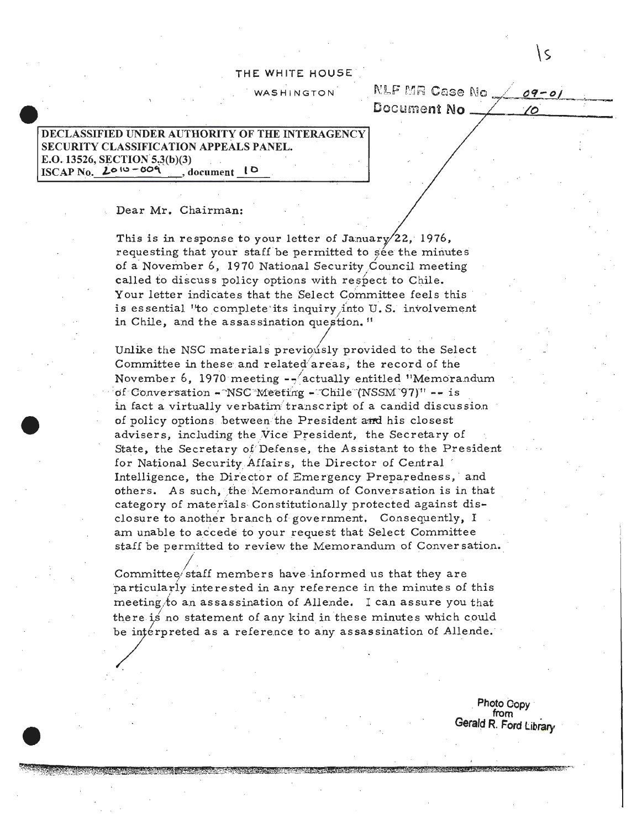## THE WHITE HOUSE

**WASHINGTON** 

|             |  |  | NLF MR Case No $\angle$ 09-01 |  |
|-------------|--|--|-------------------------------|--|
| Document No |  |  |                               |  |

۱s

## **DECLASSIFIED UNDER AUTHORITY OF THE INTERAGENCY SECURITY CLASSIFICATION APPEALS PANEL.** E.O. 13526, SECTION 5.3(b)(3)  $ISCAP$  No.  $2010 - 009$ , document  $\mathfrak{g}$

Dear Mr. Chairman:

This is in response to your letter of January/22, 1976, requesting that your staff be permitted to sée the minutes of a November 6, 1970 National Security Council meeting called to discuss policy options with respect to Chile. Your letter indicates that the Select Committee feels this is essential "to complete its inquiry into U.S. involvement in Chile, and the assassination question."

Unlike the NSC materials previously provided to the Select Committee in these and related areas, the record of the November 6, 1970 meeting -- actually entitled "Memorandum of Conversation - NSC Meeting - Chile (NSSM 97)" -- is in fact a virtually verbatim transcript of a candid discussion of policy options between the President and his closest advisers, including the Vice President, the Secretary of State, the Secretary of Defense, the Assistant to the President for National Security Affairs, the Director of Central Intelligence, the Director of Emergency Preparedness, and others. As such, the Memorandum of Conversation is in that category of materials Constitutionally protected against disclosure to another branch of government. Consequently, I am unable to accede to your request that Select Committee staff be permitted to review the Memorandum of Conversation.

Committee/staff members have informed us that they are particularly interested in any reference in the minutes of this meeting to an assassination of Allende. I can assure you that there is no statement of any kind in these minutes which could be interpreted as a reference to any assassination of Allende.

> Photo Copy from Gerald R. Ford Library